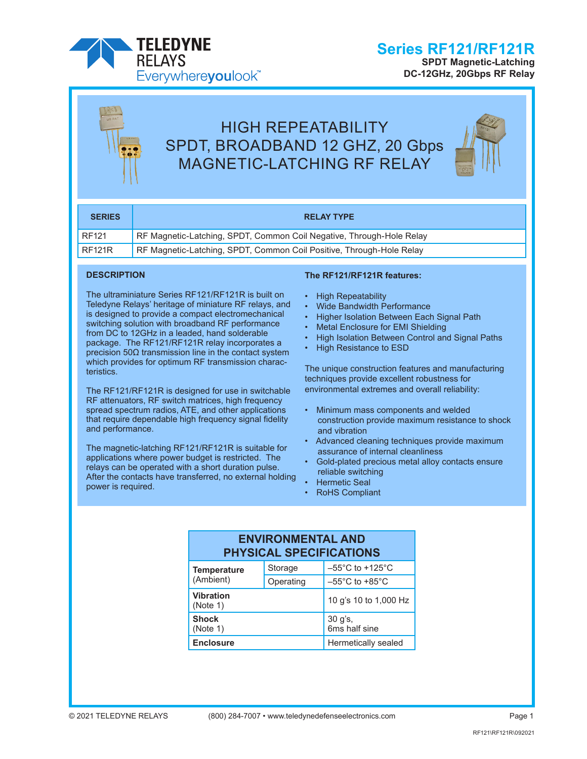

**SPDT Magnetic-Latching DC-12GHz, 20Gbps RF Relay**

# HIGH REPEATABILITY SPDT, BROADBAND 12 GHZ, 20 Gbps MAGNETIC-LATCHING RF RELAY



| <b>SERIES</b> | <b>RELAY TYPE</b>                                                    |
|---------------|----------------------------------------------------------------------|
| <b>RF121</b>  | RF Magnetic-Latching, SPDT, Common Coil Negative, Through-Hole Relay |
| RF121R        | RF Magnetic-Latching, SPDT, Common Coil Positive, Through-Hole Relay |

#### **DESCRIPTION**

The ultraminiature Series RF121/RF121R is built on Teledyne Relays' heritage of miniature RF relays, and is designed to provide a compact electromechanical switching solution with broadband RF performance from DC to 12GHz in a leaded, hand solderable package. The RF121/RF121R relay incorporates a precision 50Ω transmission line in the contact system which provides for optimum RF transmission characteristics.

The RF121/RF121R is designed for use in switchable RF attenuators, RF switch matrices, high frequency spread spectrum radios, ATE, and other applications that require dependable high frequency signal fidelity and performance.

The magnetic-latching RF121/RF121R is suitable for applications where power budget is restricted. The relays can be operated with a short duration pulse. After the contacts have transferred, no external holding power is required.

#### **The RF121/RF121R features:**

- High Repeatability
- Wide Bandwidth Performance
- Higher Isolation Between Each Signal Path
- Metal Enclosure for EMI Shielding
- High Isolation Between Control and Signal Paths
- **High Resistance to ESD**

The unique construction features and manufacturing techniques provide excellent robustness for environmental extremes and overall reliability:

- Minimum mass components and welded construction provide maximum resistance to shock and vibration
- Advanced cleaning techniques provide maximum assurance of internal cleanliness
- Gold-plated precious metal alloy contacts ensure reliable switching
- Hermetic Seal
- RoHS Compliant

### **ENVIRONMENTAL AND PHYSICAL SPECIFICATIONS**

| Temperature           | Storage                  | $-55^{\circ}$ C to +125 $^{\circ}$ C |
|-----------------------|--------------------------|--------------------------------------|
| (Ambient)             | Operating                | $-55^{\circ}$ C to $+85^{\circ}$ C   |
| Vibration<br>(Note 1) | 10 g's 10 to 1,000 Hz    |                                      |
| Shock<br>(Note 1)     | 30 g's,<br>6ms half sine |                                      |
| <b>Enclosure</b>      | Hermetically sealed      |                                      |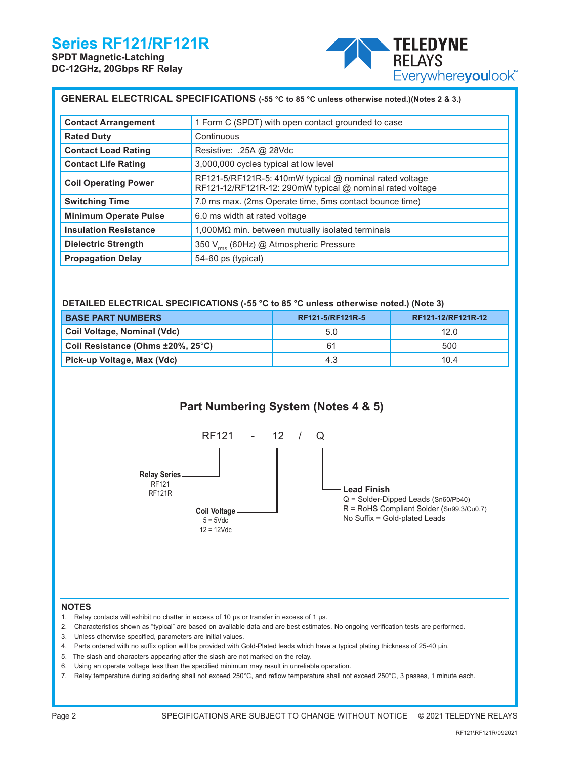**SPDT Magnetic-Latching DC-12GHz, 20Gbps RF Relay**



| GENERAL ELECTRICAL SPECIFICATIONS (-55 °C to 85 °C unless otherwise noted.)(Notes 2 & 3.) |                                                                                                                        |  |  |  |  |
|-------------------------------------------------------------------------------------------|------------------------------------------------------------------------------------------------------------------------|--|--|--|--|
| <b>Contact Arrangement</b>                                                                | 1 Form C (SPDT) with open contact grounded to case                                                                     |  |  |  |  |
| <b>Rated Duty</b>                                                                         | Continuous                                                                                                             |  |  |  |  |
| <b>Contact Load Rating</b>                                                                | Resistive: .25A @ 28Vdc                                                                                                |  |  |  |  |
| <b>Contact Life Rating</b>                                                                | 3,000,000 cycles typical at low level                                                                                  |  |  |  |  |
| <b>Coil Operating Power</b>                                                               | RF121-5/RF121R-5: 410mW typical $@$ nominal rated voltage<br>RF121-12/RF121R-12: 290mW typical @ nominal rated voltage |  |  |  |  |
| <b>Switching Time</b>                                                                     | 7.0 ms max. (2ms Operate time, 5ms contact bounce time)                                                                |  |  |  |  |
| <b>Minimum Operate Pulse</b>                                                              | 6.0 ms width at rated voltage                                                                                          |  |  |  |  |
| <b>Insulation Resistance</b>                                                              | $1,000\text{M}\Omega$ min. between mutually isolated terminals                                                         |  |  |  |  |
| <b>Dielectric Strength</b>                                                                | 350 V <sub>rms</sub> (60Hz) @ Atmospheric Pressure                                                                     |  |  |  |  |
| <b>Propagation Delay</b>                                                                  | 54-60 ps (typical)                                                                                                     |  |  |  |  |

#### **DETAILED ELECTRICAL SPECIFICATIONS (-55 °C to 85 °C unless otherwise noted.) (Note 3)**

| <b>BASE PART NUMBERS</b>          | RF121-5/RF121R-5 | RF121-12/RF121R-12 |
|-----------------------------------|------------------|--------------------|
| Coil Voltage, Nominal (Vdc)       | 5.0              | 12.0               |
| Coil Resistance (Ohms ±20%, 25°C) | 61               | 500                |
| Pick-up Voltage, Max (Vdc)        | 4.3              | 10.4               |

## **Part Numbering System (Notes 4 & 5)**



#### **NOTES**

- 1. Relay contacts will exhibit no chatter in excess of 10 µs or transfer in excess of 1 µs.
- 2. Characteristics shown as "typical" are based on available data and are best estimates. No ongoing verification tests are performed.
- 3. Unless otherwise specified, parameters are initial values.
- 4. Parts ordered with no suffix option will be provided with Gold-Plated leads which have a typical plating thickness of 25-40 µin.
- 5. The slash and characters appearing after the slash are not marked on the relay.
- 6. Using an operate voltage less than the specified minimum may result in unreliable operation.
- 7. Relay temperature during soldering shall not exceed 250°C, and reflow temperature shall not exceed 250°C, 3 passes, 1 minute each.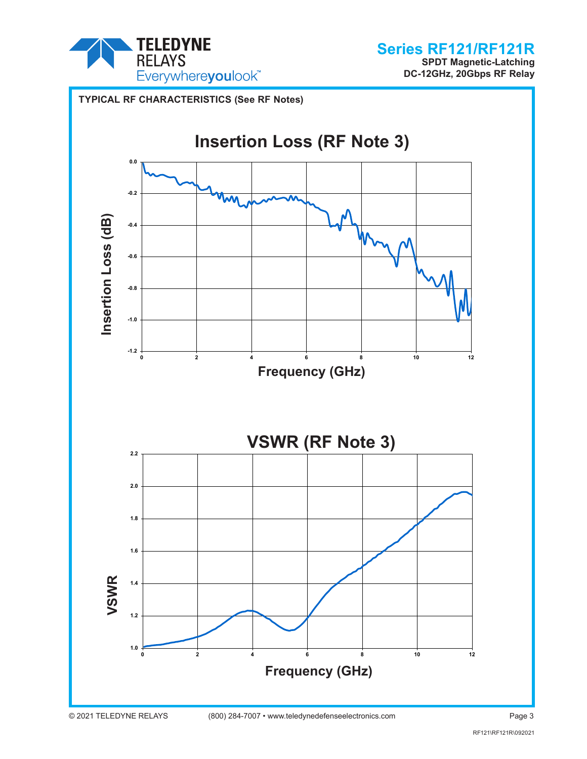

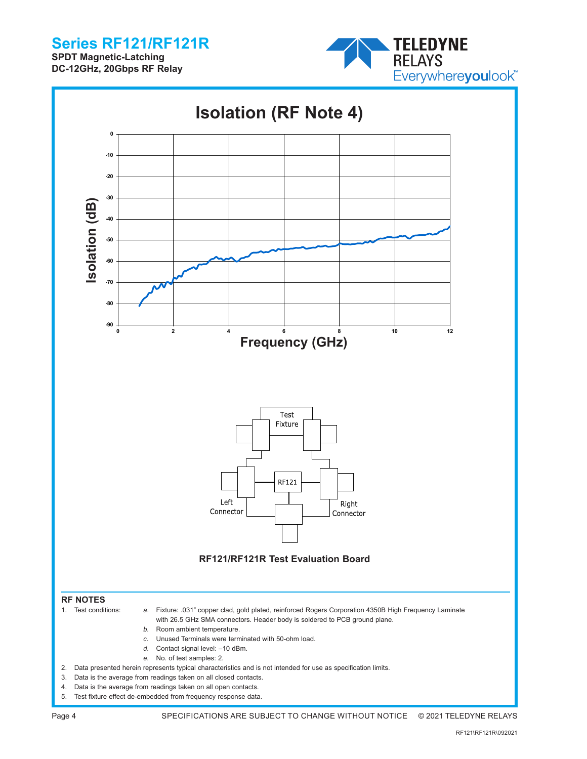**SPDT Magnetic-Latching DC-12GHz, 20Gbps RF Relay**



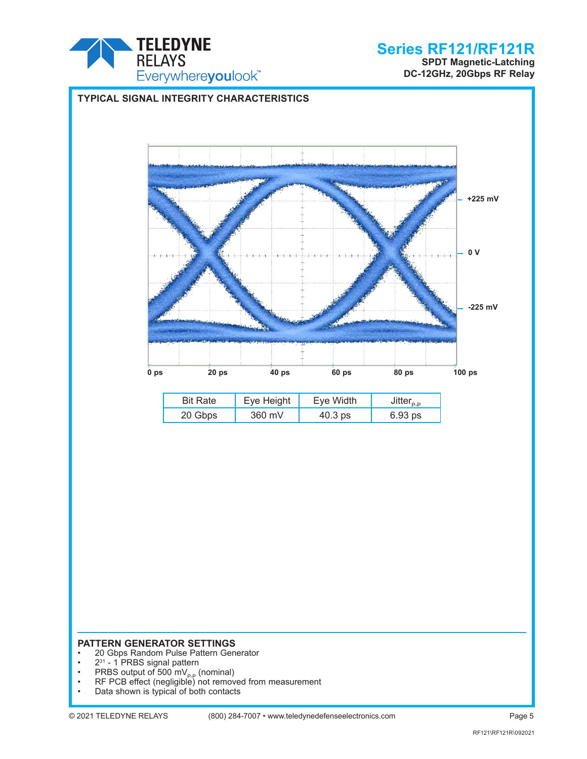

**SPDT Magnetic-Latching DC-12GHz, 20Gbps RF Relay**